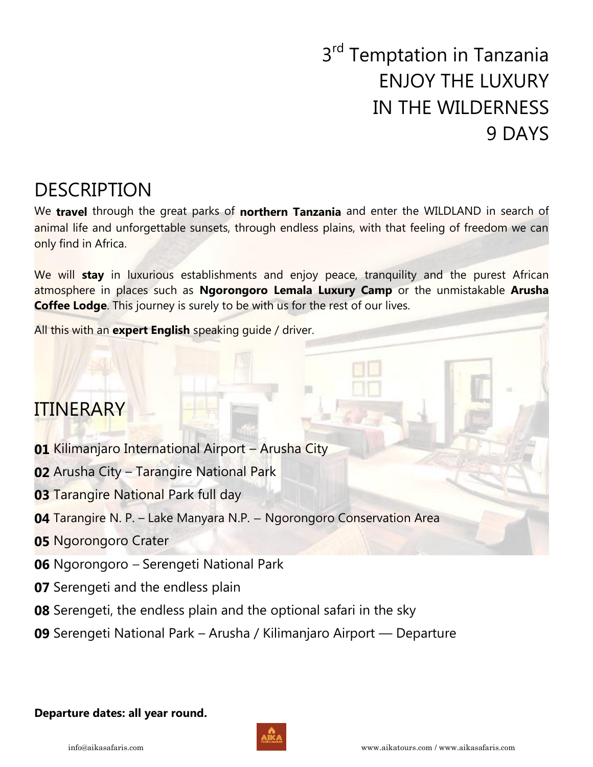# 3<sup>rd</sup> Temptation in Tanzania ENJOY THE LUXURY IN THE WILDERNESS 9 DAYS

## DESCRIPTION

We **travel** through the great parks of **northern Tanzania** and enter the WILDLAND in search of animal life and unforgettable sunsets, through endless plains, with that feeling of freedom we can only find in Africa.

We will **stay** in luxurious establishments and enjoy peace, tranquility and the purest African atmosphere in places such as **Ngorongoro Lemala Luxury Camp** or the unmistakable **Arusha Coffee Lodge**. This journey is surely to be with us for the rest of our lives.

All this with an **expert English** speaking guide / driver.

## ITINERARY

- **01** Kilimanjaro International Airport Arusha City
- **02** Arusha City Tarangire National Park
- **03** Tarangire National Park full day
- **04** Tarangire N. P. Lake Manyara N.P. Ngorongoro Conservation Area
- **05** Ngorongoro Crater
- **06** Ngorongoro Serengeti National Park
- **07** Serengeti and the endless plain
- **08** Serengeti, the endless plain and the optional safari in the sky
- **09** Serengeti National Park Arusha / Kilimanjaro Airport Departure

### **Departure dates: all year round.**

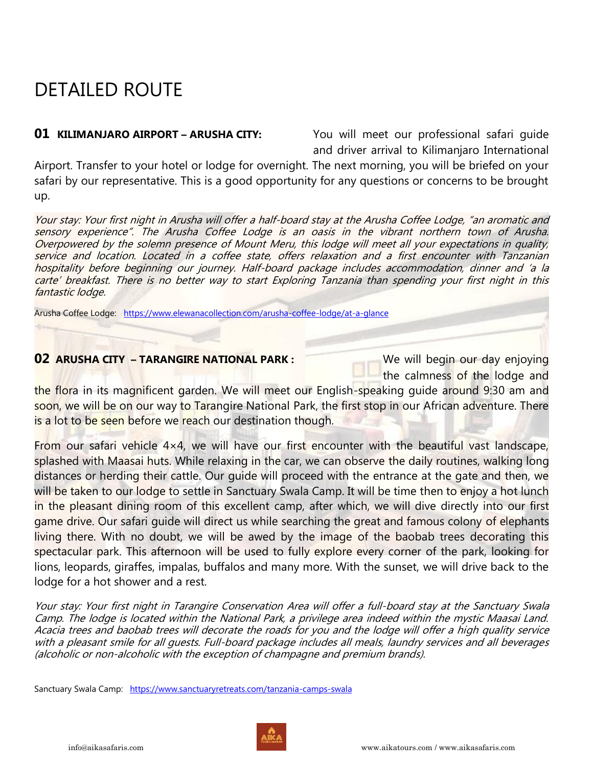## DETAILED ROUTE

**01 KILIMANJARO AIRPORT – ARUSHA CITY:** You will meet our professional safari quide and driver arrival to Kilimanjaro International

Airport. Transfer to your hotel or lodge for overnight. The next morning, you will be briefed on your safari by our representative. This is a good opportunity for any questions or concerns to be brought up.

Your stay: Your first night in Arusha will offer a half-board stay at the Arusha Coffee Lodge, "an aromatic and sensory experience". The Arusha Coffee Lodge is an oasis in the vibrant northern town of Arusha. Overpowered by the solemn presence of Mount Meru, this lodge will meet all your expectations in quality, service and location. Located in a coffee state, offers relaxation and a first encounter with Tanzanian hospitality before beginning our journey. Half-board package includes accommodation, dinner and 'a la carte' breakfast. There is no better way to start Exploring Tanzania than spending your first night in this fantastic lodge.

Arusha Coffee Lodge: <https://www.elewanacollection.com/arusha-coffee-lodge/at-a-glance>

### **02 ARUSHA CITY – TARANGIRE NATIONAL PARK : We will begin our day enjoying**

the calmness of the lodge and

the flora in its magnificent garden. We will meet our English-speaking guide around 9:30 am and soon, we will be on our way to Tarangire National Park, the first stop in our African adventure. There is a lot to be seen before we reach our destination though.

From our safari vehicle  $4\times4$ , we will have our first encounter with the beautiful vast landscape, splashed with Maasai huts. While relaxing in the car, we can observe the daily routines, walking long distances or herding their cattle. Our quide will proceed with the entrance at the gate and then, we will be taken to our lodge to settle in Sanctuary Swala Camp. It will be time then to enjoy a hot lunch in the pleasant dining room of this excellent camp, after which, we will dive directly into our first game drive. Our safari guide will direct us while searching the great and famous colony of elephants living there. With no doubt, we will be awed by the image of the baobab trees decorating this spectacular park. This afternoon will be used to fully explore every corner of the park, looking for lions, leopards, giraffes, impalas, buffalos and many more. With the sunset, we will drive back to the lodge for a hot shower and a rest.

Your stay: Your first night in Tarangire Conservation Area will offer a full-board stay at the Sanctuary Swala Camp. The lodge is located within the National Park, a privilege area indeed within the mystic Maasai Land. Acacia trees and baobab trees will decorate the roads for you and the lodge will offer a high quality service with a pleasant smile for all guests. Full-board package includes all meals, laundry services and all beverages (alcoholic or non-alcoholic with the exception of champagne and premium brands).

Sanctuary Swala Camp: <https://www.sanctuaryretreats.com/tanzania-camps-swala>



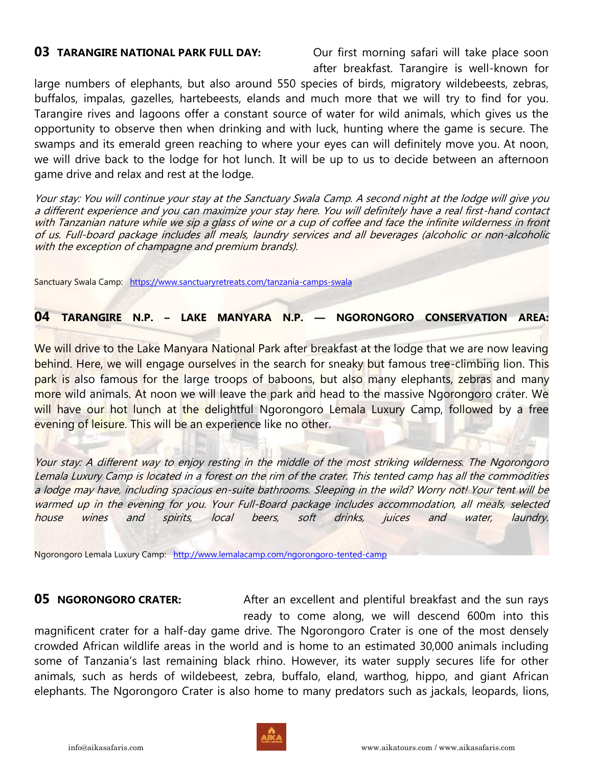**03 TARANGIRE NATIONAL PARK FULL DAY:** Our first morning safari will take place soon after breakfast. Tarangire is well-known for

large numbers of elephants, but also around 550 species of birds, migratory wildebeests, zebras, buffalos, impalas, gazelles, hartebeests, elands and much more that we will try to find for you. Tarangire rives and lagoons offer a constant source of water for wild animals, which gives us the opportunity to observe then when drinking and with luck, hunting where the game is secure. The swamps and its emerald green reaching to where your eyes can will definitely move you. At noon, we will drive back to the lodge for hot lunch. It will be up to us to decide between an afternoon game drive and relax and rest at the lodge.

Your stay: You will continue your stay at the Sanctuary Swala Camp. A second night at the lodge will give you a different experience and you can maximize your stay here. You will definitely have a real first-hand contact with Tanzanian nature while we sip a glass of wine or a cup of coffee and face the infinite wilderness in front of us. Full-board package includes all meals, laundry services and all beverages (alcoholic or non-alcoholic with the exception of champagne and premium brands).

Sanctuary Swala Camp: <https://www.sanctuaryretreats.com/tanzania-camps-swala>

**04 TARANGIRE N.P. – LAKE MANYARA N.P. — NGORONGORO CONSERVATION AREA:**

We will drive to the Lake Manyara National Park after breakfast at the lodge that we are now leaving behind. Here, we will engage ourselves in the search for sneaky but famous tree-climbing lion. This park is also famous for the large troops of baboons, but also many elephants, zebras and many more wild animals. At noon we will leave the park and head to the massive Ngorongoro crater. We will have our hot lunch at the delightful Ngorongoro Lemala Luxury Camp, followed by a free evening of leisure. This will be an experience like no other.

Your stay: A different way to enjoy resting in the middle of the most striking wilderness. The Ngorongoro Lemala Luxury Camp is located in a forest on the rim of the crater. This tented camp has all the commodities a lodge may have, including spacious en-suite bathrooms. Sleeping in the wild? Worry not! Your tent will be warmed up in the evening for you. Your Full-Board package includes accommodation, all meals, selected house wines and spirits, local beers, soft drinks, juices and water, laundry.

Ngorongoro Lemala Luxury Camp: <http://www.lemalacamp.com/ngorongoro-tented-camp>

**05 NGORONGORO CRATER:** After an excellent and plentiful breakfast and the sun rays ready to come along, we will descend 600m into this

magnificent crater for a half-day game drive. The Ngorongoro Crater is one of the most densely crowded African wildlife areas in the world and is home to an estimated 30,000 animals including some of Tanzania's last remaining black rhino. However, its water supply secures life for other animals, such as herds of wildebeest, zebra, buffalo, eland, warthog, hippo, and giant African elephants. The Ngorongoro Crater is also home to many predators such as jackals, leopards, lions,

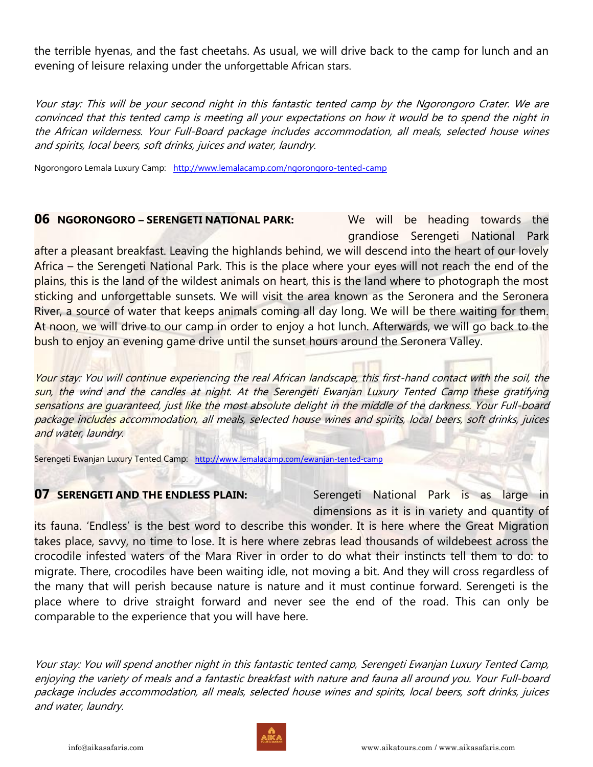the terrible hyenas, and the fast cheetahs. As usual, we will drive back to the camp for lunch and an evening of leisure relaxing under the unforgettable African stars.

Your stay: This will be your second night in this fantastic tented camp by the Ngorongoro Crater. We are convinced that this tented camp is meeting all your expectations on how it would be to spend the night in the African wilderness. Your Full-Board package includes accommodation, all meals, selected house wines and spirits, local beers, soft drinks, juices and water, laundry.

Ngorongoro Lemala Luxury Camp: <http://www.lemalacamp.com/ngorongoro-tented-camp>

### **06 NGORONGORO – SERENGETI NATIONAL PARK:** We will be heading towards the

grandiose Serengeti National Park

after a pleasant breakfast. Leaving the highlands behind, we will descend into the heart of our lovely Africa – the Serengeti National Park. This is the place where your eyes will not reach the end of the plains, this is the land of the wildest animals on heart, this is the land where to photograph the most sticking and unforgettable sunsets. We will visit the area known as the Seronera and the Seronera River, a source of water that keeps animals coming all day long. We will be there waiting for them. At noon, we will drive to our camp in order to enjoy a hot lunch. Afterwards, we will go back to the bush to enjoy an evening game drive until the sunset hours around the Seronera Valley.

Your stay: You will continue experiencing the real African landscape, this first-hand contact with the soil, the sun, the wind and the candles at night. At the Serengeti Ewanjan Luxury Tented Camp these gratifying sensations are quaranteed, just like the most absolute delight in the middle of the darkness. Your Full-board package includes accommodation, all meals, selected house wines and spirits, local beers, soft drinks, juices and water, laundry.

Serengeti Ewanjan Luxury Tented Camp: <http://www.lemalacamp.com/ewanjan-tented-camp>

**07 SERENGETI AND THE ENDLESS PLAIN:** Serengeti National Park is as large in dimensions as it is in variety and quantity of

its fauna. 'Endless' is the best word to describe this wonder. It is here where the Great Migration takes place, savvy, no time to lose. It is here where zebras lead thousands of wildebeest across the crocodile infested waters of the Mara River in order to do what their instincts tell them to do: to migrate. There, crocodiles have been waiting idle, not moving a bit. And they will cross regardless of the many that will perish because nature is nature and it must continue forward. Serengeti is the place where to drive straight forward and never see the end of the road. This can only be comparable to the experience that you will have here.

Your stay: You will spend another night in this fantastic tented camp, Serengeti Ewanjan Luxury Tented Camp, enjoying the variety of meals and a fantastic breakfast with nature and fauna all around you. Your Full-board package includes accommodation, all meals, selected house wines and spirits, local beers, soft drinks, juices and water, laundry.

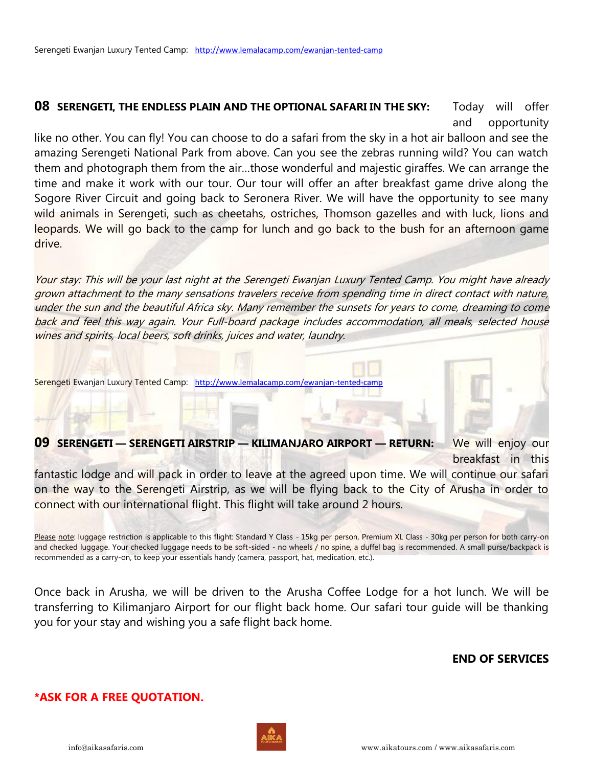### **08 SERENGETI, THE ENDLESS PLAIN AND THE OPTIONAL SAFARI IN THE SKY:** Today will offer and opportunity

like no other. You can fly! You can choose to do a safari from the sky in a hot air balloon and see the amazing Serengeti National Park from above. Can you see the zebras running wild? You can watch them and photograph them from the air…those wonderful and majestic giraffes. We can arrange the time and make it work with our tour. Our tour will offer an after breakfast game drive along the Sogore River Circuit and going back to Seronera River. We will have the opportunity to see many wild animals in Serengeti, such as cheetahs, ostriches, Thomson gazelles and with luck, lions and leopards. We will go back to the camp for lunch and go back to the bush for an afternoon game drive.

Your stay: This will be your last night at the Serengeti Ewanjan Luxury Tented Camp. You might have already grown attachment to the many sensations travelers receive from spending time in direct contact with nature, under the sun and the beautiful Africa sky. Many remember the sunsets for years to come, dreaming to come back and feel this way again. Your Full-board package includes accommodation, all meals, selected house wines and spirits, local beers, soft drinks, juices and water, laundry.

Serengeti Ewanjan Luxury Tented Camp: http://www.lemalacamp.com/ewanjan-tented-c

### **09 SERENGETI — SERENGETI AIRSTRIP — KILIMANJARO AIRPORT — RETURN:** We will enjoy our breakfast in this

fantastic lodge and will pack in order to leave at the agreed upon time. We will continue our safari on the way to the Serengeti Airstrip, as we will be flying back to the City of Arusha in order to connect with our international flight. This flight will take around 2 hours.

Please note: luggage restriction is applicable to this flight: Standard Y Class - 15kg per person, Premium XL Class - 30kg per person for both carry-on and checked luggage. Your checked luggage needs to be soft-sided - no wheels / no spine, a duffel bag is recommended. A small purse/backpack is recommended as a carry-on, to keep your essentials handy (camera, passport, hat, medication, etc.).

Once back in Arusha, we will be driven to the Arusha Coffee Lodge for a hot lunch. We will be transferring to Kilimanjaro Airport for our flight back home. Our safari tour guide will be thanking you for your stay and wishing you a safe flight back home.

### **END OF SERVICES**

### **\*ASK FOR A FREE QUOTATION.**